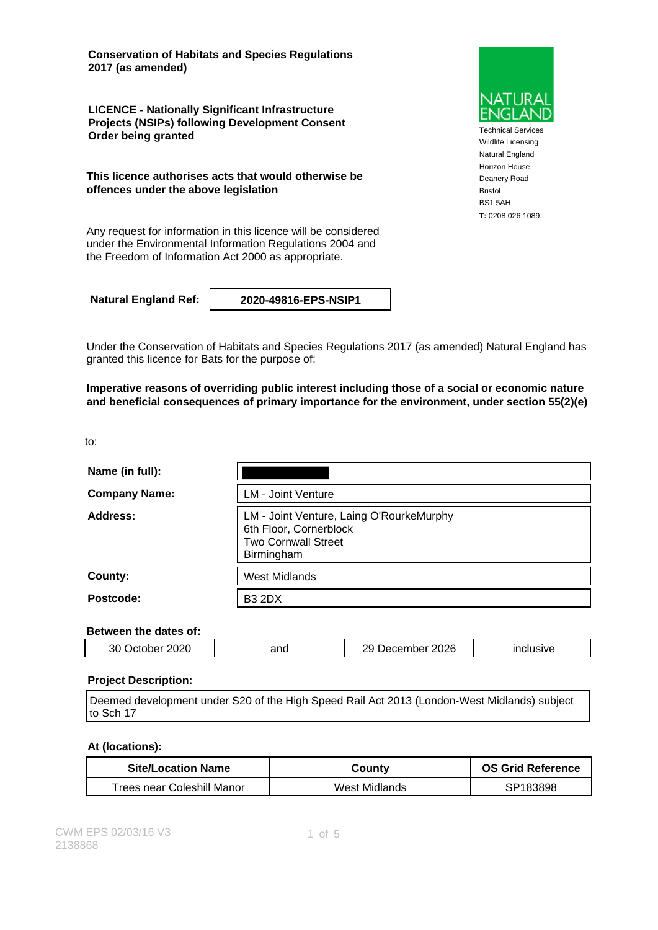**Conservation of Habitats and Species Regulations 2017 (as amended)**

**LICENCE - Nationally Significant Infrastructure Projects (NSIPs) following Development Consent Order being granted**

**This licence authorises acts that would otherwise be offences under the above legislation**

Any request for information in this licence will be considered under the Environmental Information Regulations 2004 and the Freedom of Information Act 2000 as appropriate.

**Natural England Ref: 2020-49816-EPS-NSIP1**

Under the Conservation of Habitats and Species Regulations 2017 (as amended) Natural England has granted this licence for Bats for the purpose of:

**Imperative reasons of overriding public interest including those of a social or economic nature and beneficial consequences of primary importance for the environment, under section 55(2)(e)**

to:

| Name (in full):      |                                                                                                                |
|----------------------|----------------------------------------------------------------------------------------------------------------|
| <b>Company Name:</b> | <b>LM - Joint Venture</b>                                                                                      |
| Address:             | LM - Joint Venture, Laing O'RourkeMurphy<br>6th Floor, Cornerblock<br><b>Two Cornwall Street</b><br>Birmingham |
| County:              | <b>West Midlands</b>                                                                                           |
| Postcode:            | <b>B3 2DX</b>                                                                                                  |

#### **Between the dates of:**

| 2026<br>2020<br>ΛC<br>and<br>lusive<br>ember<br>$-$<br>- IC<br>بدر<br>بم ۱<br>, J<br>.<br>.<br>___ |  |  |  |  |
|----------------------------------------------------------------------------------------------------|--|--|--|--|
|----------------------------------------------------------------------------------------------------|--|--|--|--|

#### **Project Description:**

Deemed development under S20 of the High Speed Rail Act 2013 (London-West Midlands) subject to Sch 17

#### **At (locations):**

| <b>Site/Location Name</b>  | County        | <b>OS Grid Reference</b> |
|----------------------------|---------------|--------------------------|
| Trees near Coleshill Manor | West Midlands | SP183898                 |



Technical Services Wildlife Licensing Natural England Horizon House Deanery Road Bristol BS1 5AH **T:** 0208 026 1089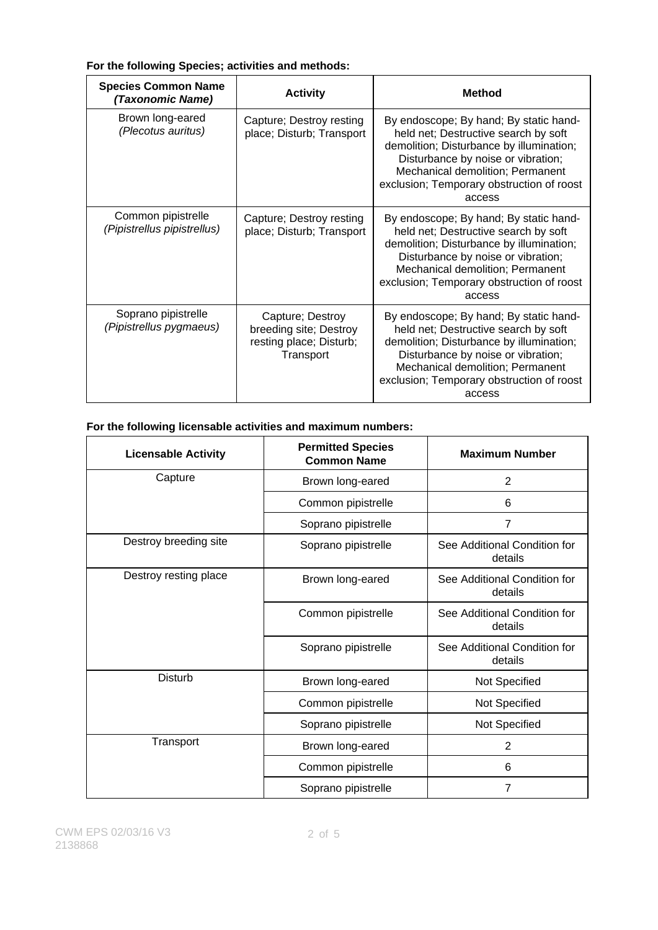#### **For the following Species; activities and methods:**

| <b>Species Common Name</b><br>(Taxonomic Name)    | <b>Activity</b>                                                                    | <b>Method</b>                                                                                                                                                                                                                                               |
|---------------------------------------------------|------------------------------------------------------------------------------------|-------------------------------------------------------------------------------------------------------------------------------------------------------------------------------------------------------------------------------------------------------------|
| Brown long-eared<br>(Plecotus auritus)            | Capture; Destroy resting<br>place; Disturb; Transport                              | By endoscope; By hand; By static hand-<br>held net; Destructive search by soft<br>demolition; Disturbance by illumination;<br>Disturbance by noise or vibration;<br>Mechanical demolition; Permanent<br>exclusion; Temporary obstruction of roost<br>access |
| Common pipistrelle<br>(Pipistrellus pipistrellus) | Capture; Destroy resting<br>place; Disturb; Transport                              | By endoscope; By hand; By static hand-<br>held net; Destructive search by soft<br>demolition; Disturbance by illumination;<br>Disturbance by noise or vibration;<br>Mechanical demolition; Permanent<br>exclusion; Temporary obstruction of roost<br>access |
| Soprano pipistrelle<br>(Pipistrellus pygmaeus)    | Capture; Destroy<br>breeding site; Destroy<br>resting place; Disturb;<br>Transport | By endoscope; By hand; By static hand-<br>held net; Destructive search by soft<br>demolition; Disturbance by illumination;<br>Disturbance by noise or vibration;<br>Mechanical demolition; Permanent<br>exclusion; Temporary obstruction of roost<br>access |

### **For the following licensable activities and maximum numbers:**

| <b>Licensable Activity</b> | <b>Permitted Species</b><br><b>Common Name</b> | <b>Maximum Number</b>                   |
|----------------------------|------------------------------------------------|-----------------------------------------|
| Capture                    | Brown long-eared                               | $\overline{2}$                          |
|                            | Common pipistrelle                             | 6                                       |
|                            | Soprano pipistrelle                            | $\overline{7}$                          |
| Destroy breeding site      | Soprano pipistrelle                            | See Additional Condition for<br>details |
| Destroy resting place      | Brown long-eared                               | See Additional Condition for<br>details |
|                            | Common pipistrelle                             | See Additional Condition for<br>details |
|                            | Soprano pipistrelle                            | See Additional Condition for<br>details |
| <b>Disturb</b>             | Brown long-eared                               | Not Specified                           |
|                            | Common pipistrelle                             | Not Specified                           |
|                            | Soprano pipistrelle                            | Not Specified                           |
| Transport                  | Brown long-eared                               | 2                                       |
|                            | Common pipistrelle                             | 6                                       |
|                            | Soprano pipistrelle                            | $\overline{7}$                          |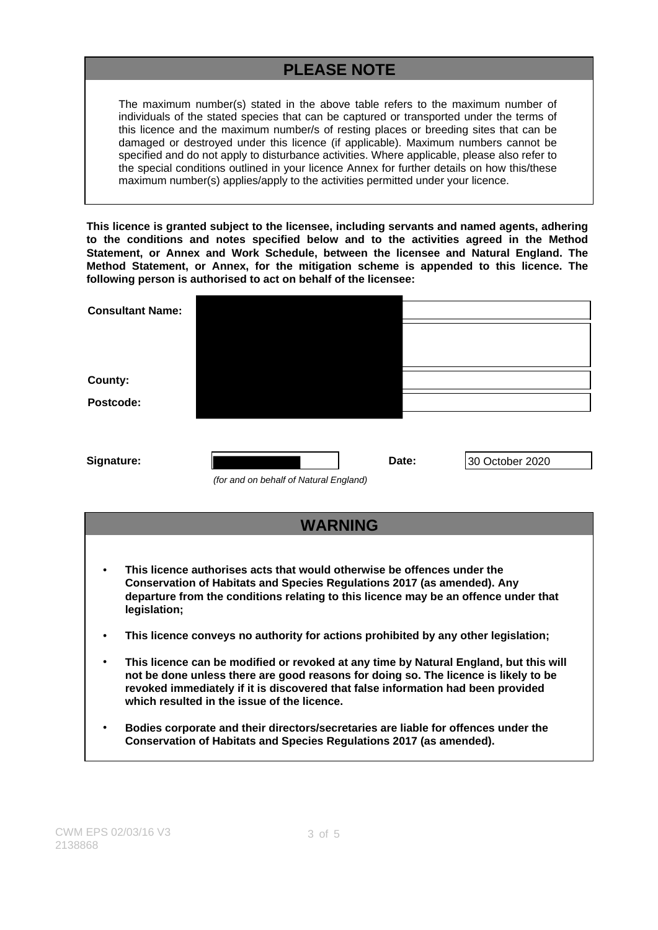# **PLEASE NOTE**

The maximum number(s) stated in the above table refers to the maximum number of individuals of the stated species that can be captured or transported under the terms of this licence and the maximum number/s of resting places or breeding sites that can be damaged or destroyed under this licence (if applicable). Maximum numbers cannot be specified and do not apply to disturbance activities. Where applicable, please also refer to the special conditions outlined in your licence Annex for further details on how this/these maximum number(s) applies/apply to the activities permitted under your licence.

**This licence is granted subject to the licensee, including servants and named agents, adhering to the conditions and notes specified below and to the activities agreed in the Method Statement, or Annex and Work Schedule, between the licensee and Natural England. The Method Statement, or Annex, for the mitigation scheme is appended to this licence. The following person is authorised to act on behalf of the licensee:**

| <b>Consultant Name:</b> |                                        |       |                 |
|-------------------------|----------------------------------------|-------|-----------------|
|                         |                                        |       |                 |
|                         |                                        |       |                 |
| County:                 |                                        |       |                 |
| Postcode:               |                                        |       |                 |
|                         |                                        |       |                 |
|                         |                                        | Date: |                 |
| Signature:              | (for and on behalf of Natural England) |       | 30 October 2020 |



- **This licence authorises acts that would otherwise be offences under the Conservation of Habitats and Species Regulations 2017 (as amended). Any departure from the conditions relating to this licence may be an offence under that legislation;**
- **This licence conveys no authority for actions prohibited by any other legislation;**
- **This licence can be modified or revoked at any time by Natural England, but this will not be done unless there are good reasons for doing so. The licence is likely to be revoked immediately if it is discovered that false information had been provided which resulted in the issue of the licence.**
- **Bodies corporate and their directors/secretaries are liable for offences under the Conservation of Habitats and Species Regulations 2017 (as amended).**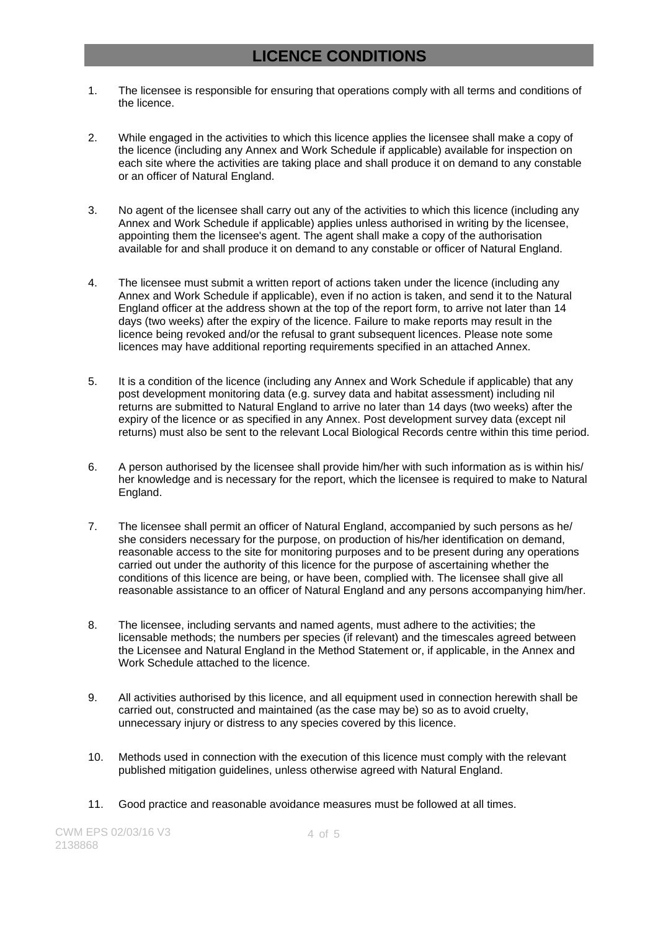### **LICENCE CONDITIONS**

- 1. The licensee is responsible for ensuring that operations comply with all terms and conditions of the licence.
- 2. While engaged in the activities to which this licence applies the licensee shall make a copy of the licence (including any Annex and Work Schedule if applicable) available for inspection on each site where the activities are taking place and shall produce it on demand to any constable or an officer of Natural England.
- 3. No agent of the licensee shall carry out any of the activities to which this licence (including any Annex and Work Schedule if applicable) applies unless authorised in writing by the licensee, appointing them the licensee's agent. The agent shall make a copy of the authorisation available for and shall produce it on demand to any constable or officer of Natural England.
- 4. The licensee must submit a written report of actions taken under the licence (including any Annex and Work Schedule if applicable), even if no action is taken, and send it to the Natural England officer at the address shown at the top of the report form, to arrive not later than 14 days (two weeks) after the expiry of the licence. Failure to make reports may result in the licence being revoked and/or the refusal to grant subsequent licences. Please note some licences may have additional reporting requirements specified in an attached Annex.
- 5. It is a condition of the licence (including any Annex and Work Schedule if applicable) that any post development monitoring data (e.g. survey data and habitat assessment) including nil returns are submitted to Natural England to arrive no later than 14 days (two weeks) after the expiry of the licence or as specified in any Annex. Post development survey data (except nil returns) must also be sent to the relevant Local Biological Records centre within this time period.
- 6. A person authorised by the licensee shall provide him/her with such information as is within his/ her knowledge and is necessary for the report, which the licensee is required to make to Natural England.
- 7. The licensee shall permit an officer of Natural England, accompanied by such persons as he/ she considers necessary for the purpose, on production of his/her identification on demand, reasonable access to the site for monitoring purposes and to be present during any operations carried out under the authority of this licence for the purpose of ascertaining whether the conditions of this licence are being, or have been, complied with. The licensee shall give all reasonable assistance to an officer of Natural England and any persons accompanying him/her.
- 8. The licensee, including servants and named agents, must adhere to the activities; the licensable methods; the numbers per species (if relevant) and the timescales agreed between the Licensee and Natural England in the Method Statement or, if applicable, in the Annex and Work Schedule attached to the licence.
- 9. All activities authorised by this licence, and all equipment used in connection herewith shall be carried out, constructed and maintained (as the case may be) so as to avoid cruelty, unnecessary injury or distress to any species covered by this licence.
- 10. Methods used in connection with the execution of this licence must comply with the relevant published mitigation guidelines, unless otherwise agreed with Natural England.
- 11. Good practice and reasonable avoidance measures must be followed at all times.